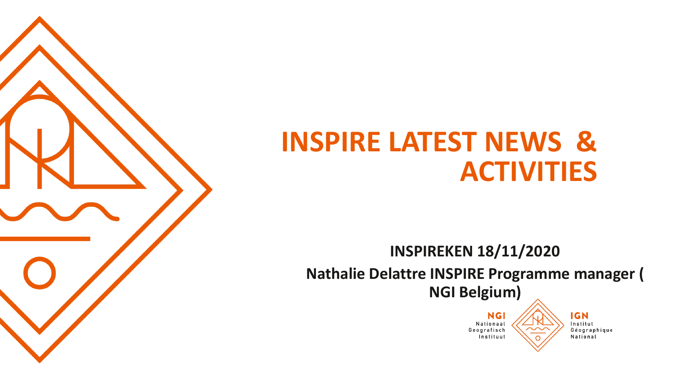

**INSPIREKEN 18/11/2020 Nathalie Delattre INSPIRE Programme manager ( NGI Belgium)**

> **NGI** Nationaal Geografisch Instituut

**IGN** Institut Géographique National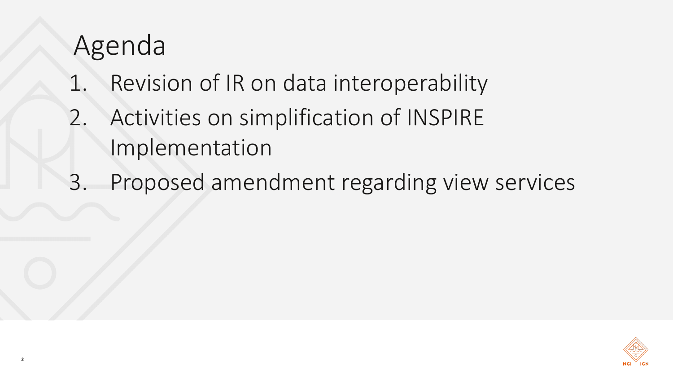## Agenda

- 1. Revision of IR on data interoperability
- 2. Activities on simplification of INSPIRE Implementation
- 3. Proposed amendment regarding view services

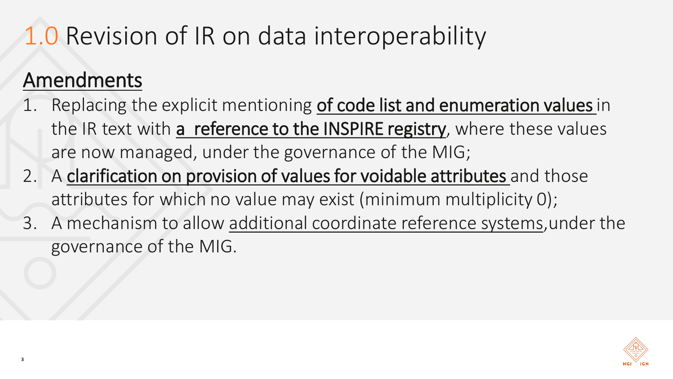## 1.0 Revision of IR on data interoperability

#### Amendments

- 1. Replacing the explicit mentioning of code list and enumeration values in the IR text with a reference to the INSPIRE registry, where these values are now managed, under the governance of the MIG;
- 2. A clarification on provision of values for voidable attributes and those attributes for which no value may exist (minimum multiplicity 0);
- 3. A mechanism to allow additional coordinate reference systems,under the governance of the MIG.

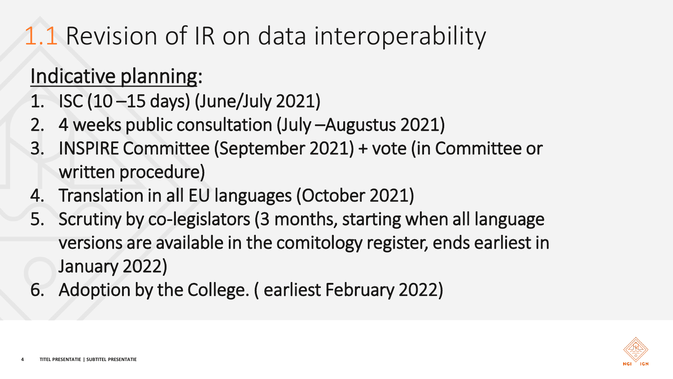## 1.1 Revision of IR on data interoperability

#### Indicative planning:

- 1. ISC (10 –15 days) (June/July 2021)
- 2. 4 weeks public consultation (July –Augustus 2021)
- 3. INSPIRE Committee (September 2021) + vote (in Committee or written procedure)
- 4. Translation in all EU languages (October 2021)
- 5. Scrutiny by co-legislators (3 months, starting when all language versions are available in the comitology register, ends earliest in January 2022)
- 6. Adoption by the College. ( earliest February 2022)

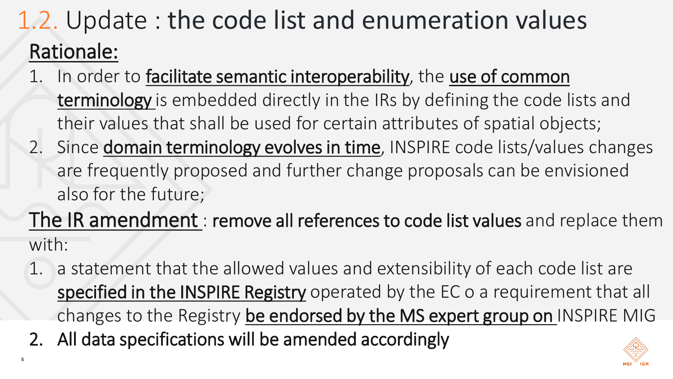## 1.2. Update : the code list and enumeration values Rationale:

- In order to facilitate semantic interoperability, the use of common terminology is embedded directly in the IRs by defining the code lists and their values that shall be used for certain attributes of spatial objects;
- 2. Since domain terminology evolves in time, INSPIRE code lists/values changes are frequently proposed and further change proposals can be envisioned also for the future;

The IR amendment : remove all references to code list values and replace them with:

- 1. a statement that the allowed values and extensibility of each code list are specified in the INSPIRE Registry operated by the EC o a requirement that all changes to the Registry be endorsed by the MS expert group on INSPIRE MIG
- 2. All data specifications will be amended accordingly

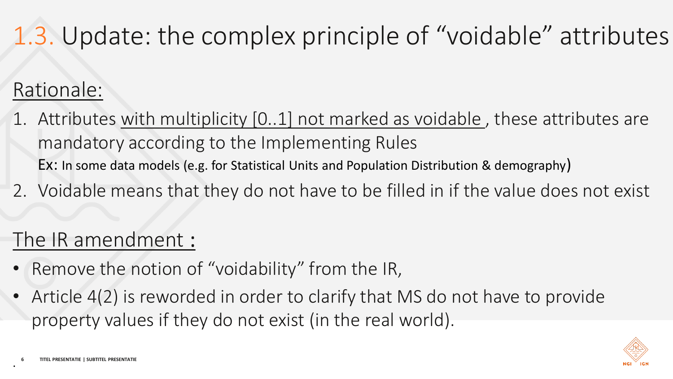## 1.3. Update: the complex principle of "voidable" attributes

#### Rationale:

- 1. Attributes with multiplicity [0..1] not marked as voidable , these attributes are mandatory according to the Implementing Rules Ex: In some data models (e.g. for Statistical Units and Population Distribution & demography)
- 2. Voidable means that they do not have to be filled in if the value does not exist

#### The IR amendment :

- Remove the notion of "voidability" from the IR,
- Article 4(2) is reworded in order to clarify that MS do not have to provide property values if they do not exist (in the real world).



.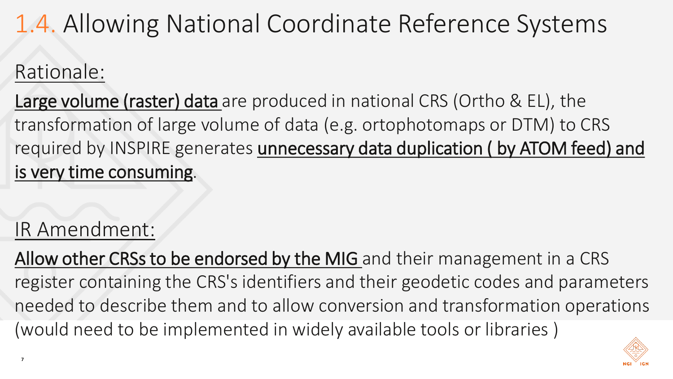## 1.4. Allowing National Coordinate Reference Systems

#### Rationale:

Large volume (raster) data are produced in national CRS (Ortho & EL), the transformation of large volume of data (e.g. ortophotomaps or DTM) to CRS required by INSPIRE generates unnecessary data duplication (by ATOM feed) and is very time consuming.

### IR Amendment:

Allow other CRSs to be endorsed by the MIG and their management in a CRS register containing the CRS's identifiers and their geodetic codes and parameters needed to describe them and to allow conversion and transformation operations (would need to be implemented in widely available tools or libraries )

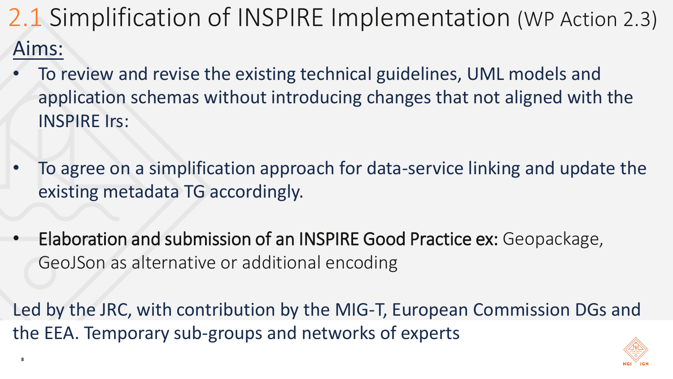## 2.1 Simplification of INSPIRE Implementation (WP Action 2.3) Aims:

- To review and revise the existing technical guidelines, UML models and application schemas without introducing changes that not aligned with the INSPIRE Irs:
- To agree on a simplification approach for data-service linking and update the existing metadata TG accordingly.
- Elaboration and submission of an INSPIRE Good Practice ex: Geopackage, GeoJSon as alternative or additional encoding

**8**

Led by the JRC, with contribution by the MIG-T, European Commission DGs and the EEA. Temporary sub-groups and networks of experts

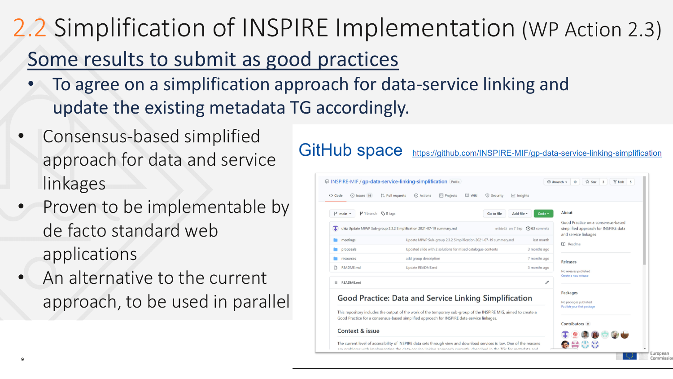# 2.2 Simplification of INSPIRE Implementation (WP Action 2.3)

#### Some results to submit as good practices

- To agree on a simplification approach for data-service linking and update the existing metadata TG accordingly.
- Consensus-based simplified approach for data and service linkages
- Proven to be implementable by de facto standard web applications
- An alternative to the current approach, to be used in parallel

#### **GitHub space** https://github.com/INSPIRE-MIF/gp-data-service-linking-simplification FINSPIRE-MIF / gp-data-service-linking-simplification Publi-⊙ Unwatch = 19 12 Star 3 V Fork ⊙ Issues 14 【1】 Pull requests © Actions [1] Projects □ Wiki <> Code (i) Security **P** 1 branch  $\odot$  0 tags Ahout Good Practice on a consensus-based **T** ukiz Update MIWP Sub-group 2.3.2 Simplification 2021-07-19 summary.md e43de92 on 7 Sep 10 63 commits simplified approach for INSPIRE data and service linkages Update MIWP Sub-group 2.3.2 Simplification 2021-07-19 summary.md meeting last month **CC** Readme 3 months ago **Deproposals** Updated slide with 2 solutions for mixed catalogue contents **Contract Contract** Tesources add group description 7 months ago Releases README.md Update README.md 3 months ago No releases published Create a new release E README.md Packages Good Practice: Data and Service Linking Simplification No packages published Publish your first package This repository includes the output of the work of the temporary sub-group of the INSPIRE MIG, aimed to create a Good Practice for a consensus-based simplified approach for INSPIRE data-service linkages. Contributors Context & issue The current level of accessibility of INSPIRE data sets through view and download services is low. One of the reasons ●음₩상 are problems with implementing the data-censice linking approach suspetly described in the TGs for metadata

**9**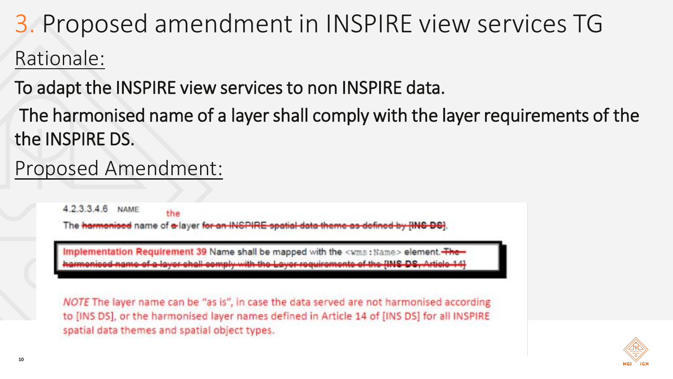## 3. Proposed amendment in INSPIRE view services TG Rationale:

To adapt the INSPIRE view services to non INSPIRE data.

The harmonised name of a layer shall comply with the layer requirements of the the INSPIRE DS.

#### Proposed Amendment:

423346 **NAME** the The harmonised name of a layer for an INSPIRE spatial

Implementation Requirement 39 Name shall be mapped with the <wms: Name> element. The-

NOTE The layer name can be "as is", in case the data served are not harmonised according to [INS DS], or the harmonised layer names defined in Article 14 of [INS DS] for all INSPIRE spatial data themes and spatial object types.

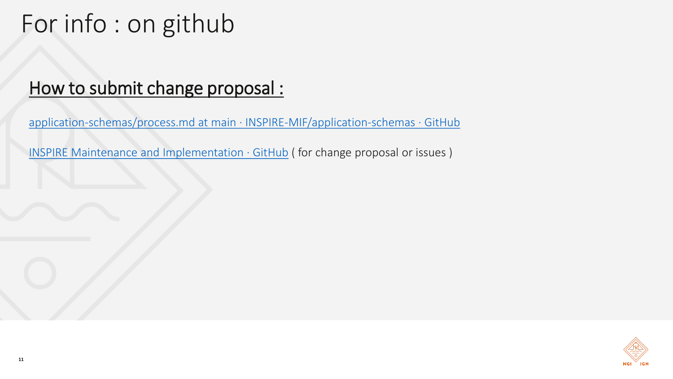## For info : on github

#### How to submit [change proposal](https://github.com/INSPIRE-MIF/application-schemas/blob/main/governance-release-process/process.md) :

application-[schemas/process.md at main · INSPIRE](https://github.com/INSPIRE-MIF/application-schemas/blob/main/governance-release-process/process.md)-MIF/application-schemas · GitHub

[INSPIRE Maintenance and Implementation](https://github.com/INSPIRE-MIF) · GitHub ( for change proposal or issues )